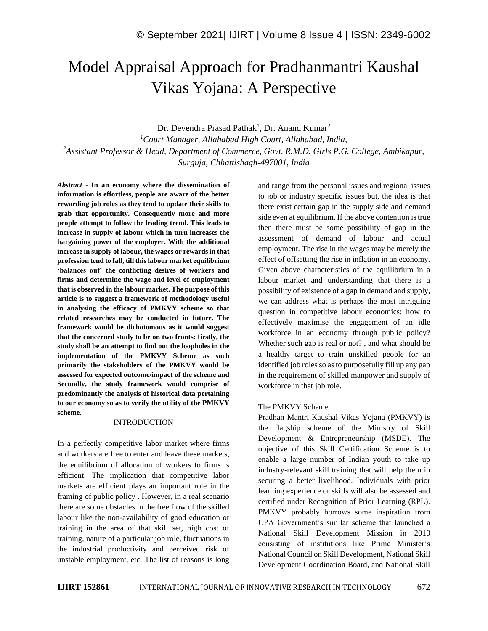# Model Appraisal Approach for Pradhanmantri Kaushal Vikas Yojana: A Perspective

Dr. Devendra Prasad Pathak<sup>1</sup>, Dr. Anand Kumar<sup>2</sup>

*<sup>1</sup>Court Manager, Allahabad High Court, Allahabad, India, <sup>2</sup>Assistant Professor & Head, Department of Commerce, Govt. R.M.D. Girls P.G. College, Ambikapur, Surguja, Chhattishagh-497001, India*

*Abstract -* **In an economy where the dissemination of information is effortless, people are aware of the better rewarding job roles as they tend to update their skills to grab that opportunity. Consequently more and more people attempt to follow the leading trend. This leads to increase in supply of labour which in turn increases the bargaining power of the employer. With the additional increase in supply of labour, the wages or rewards in that profession tend to fall, till this labour market equilibrium 'balances out' the conflicting desires of workers and firms and determine the wage and level of employment that is observed in the labour market. The purpose of this article is to suggest a framework of methodology useful in analysing the efficacy of PMKVY scheme so that related researches may be conducted in future. The framework would be dichotomous as it would suggest that the concerned study to be on two fronts: firstly, the study shall be an attempt to find out the loopholes in the implementation of the PMKVY Scheme as such primarily the stakeholders of the PMKVY would be assessed for expected outcome/impact of the scheme and Secondly, the study framework would comprise of predominantly the analysis of historical data pertaining to our economy so as to verify the utility of the PMKVY scheme.**

### INTRODUCTION

In a perfectly competitive labor market where firms and workers are free to enter and leave these markets, the equilibrium of allocation of workers to firms is efficient. The implication that competitive labor markets are efficient plays an important role in the framing of public policy . However, in a real scenario there are some obstacles in the free flow of the skilled labour like the non-availability of good education or training in the area of that skill set, high cost of training, nature of a particular job role, fluctuations in the industrial productivity and perceived risk of unstable employment, etc. The list of reasons is long and range from the personal issues and regional issues to job or industry specific issues but, the idea is that there exist certain gap in the supply side and demand side even at equilibrium. If the above contention is true then there must be some possibility of gap in the assessment of demand of labour and actual employment. The rise in the wages may be merely the effect of offsetting the rise in inflation in an economy. Given above characteristics of the equilibrium in a labour market and understanding that there is a possibility of existence of a gap in demand and supply, we can address what is perhaps the most intriguing question in competitive labour economics: how to effectively maximise the engagement of an idle workforce in an economy through public policy? Whether such gap is real or not? , and what should be a healthy target to train unskilled people for an identified job roles so as to purposefully fill up any gap in the requirement of skilled manpower and supply of workforce in that job role.

## The PMKVY Scheme

Pradhan Mantri Kaushal Vikas Yojana (PMKVY) is the flagship scheme of the Ministry of Skill Development & Entrepreneurship (MSDE). The objective of this Skill Certification Scheme is to enable a large number of Indian youth to take up industry-relevant skill training that will help them in securing a better livelihood. Individuals with prior learning experience or skills will also be assessed and certified under Recognition of Prior Learning (RPL). PMKVY probably borrows some inspiration from UPA Government's similar scheme that launched a National Skill Development Mission in 2010 consisting of institutions like Prime Minister's National Council on Skill Development, National Skill Development Coordination Board, and National Skill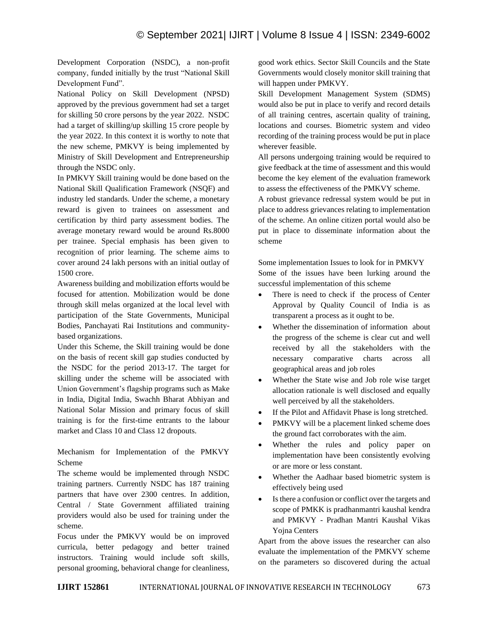Development Corporation (NSDC), a non-profit company, funded initially by the trust "National Skill Development Fund".

National Policy on Skill Development (NPSD) approved by the previous government had set a target for skilling 50 crore persons by the year 2022. NSDC had a target of skilling/up skilling 15 crore people by the year 2022. In this context it is worthy to note that the new scheme, PMKVY is being implemented by Ministry of Skill Development and Entrepreneurship through the NSDC only.

In PMKVY Skill training would be done based on the National Skill Qualification Framework (NSQF) and industry led standards. Under the scheme, a monetary reward is given to trainees on assessment and certification by third party assessment bodies. The average monetary reward would be around Rs.8000 per trainee. Special emphasis has been given to recognition of prior learning. The scheme aims to cover around 24 lakh persons with an initial outlay of 1500 crore.

Awareness building and mobilization efforts would be focused for attention. Mobilization would be done through skill melas organized at the local level with participation of the State Governments, Municipal Bodies, Panchayati Rai Institutions and communitybased organizations.

Under this Scheme, the Skill training would be done on the basis of recent skill gap studies conducted by the NSDC for the period 2013-17. The target for skilling under the scheme will be associated with Union Government's flagship programs such as Make in India, Digital India, Swachh Bharat Abhiyan and National Solar Mission and primary focus of skill training is for the first-time entrants to the labour market and Class 10 and Class 12 dropouts.

Mechanism for Implementation of the PMKVY Scheme

The scheme would be implemented through NSDC training partners. Currently NSDC has 187 training partners that have over 2300 centres. In addition, Central / State Government affiliated training providers would also be used for training under the scheme.

Focus under the PMKVY would be on improved curricula, better pedagogy and better trained instructors. Training would include soft skills, personal grooming, behavioral change for cleanliness, good work ethics. Sector Skill Councils and the State Governments would closely monitor skill training that will happen under PMKVY.

Skill Development Management System (SDMS) would also be put in place to verify and record details of all training centres, ascertain quality of training, locations and courses. Biometric system and video recording of the training process would be put in place wherever feasible.

All persons undergoing training would be required to give feedback at the time of assessment and this would become the key element of the evaluation framework to assess the effectiveness of the PMKVY scheme.

A robust grievance redressal system would be put in place to address grievances relating to implementation of the scheme. An online citizen portal would also be put in place to disseminate information about the scheme

Some implementation Issues to look for in PMKVY Some of the issues have been lurking around the successful implementation of this scheme

- There is need to check if the process of Center Approval by Quality Council of India is as transparent a process as it ought to be.
- Whether the dissemination of information about the progress of the scheme is clear cut and well received by all the stakeholders with the necessary comparative charts across all geographical areas and job roles
- Whether the State wise and Job role wise target allocation rationale is well disclosed and equally well perceived by all the stakeholders.
- If the Pilot and Affidavit Phase is long stretched.
- PMKVY will be a placement linked scheme does the ground fact corroborates with the aim.
- Whether the rules and policy paper on implementation have been consistently evolving or are more or less constant.
- Whether the Aadhaar based biometric system is effectively being used
- Is there a confusion or conflict over the targets and scope of PMKK is pradhanmantri kaushal kendra and PMKVY - Pradhan Mantri Kaushal Vikas Yojna Centers

Apart from the above issues the researcher can also evaluate the implementation of the PMKVY scheme on the parameters so discovered during the actual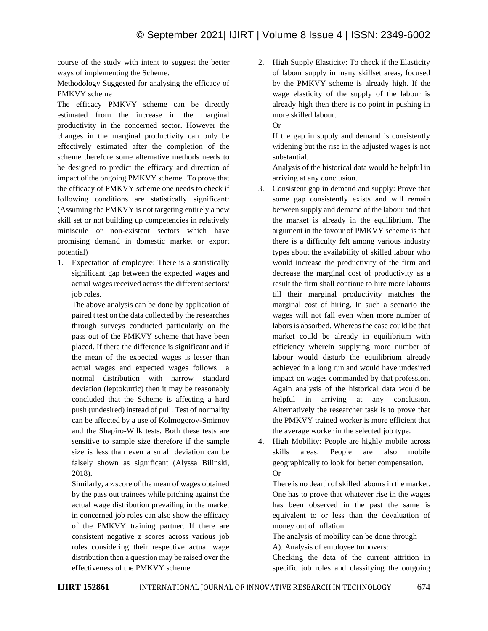course of the study with intent to suggest the better ways of implementing the Scheme.

Methodology Suggested for analysing the efficacy of PMKVY scheme

The efficacy PMKVY scheme can be directly estimated from the increase in the marginal productivity in the concerned sector. However the changes in the marginal productivity can only be effectively estimated after the completion of the scheme therefore some alternative methods needs to be designed to predict the efficacy and direction of impact of the ongoing PMKVY scheme. To prove that the efficacy of PMKVY scheme one needs to check if following conditions are statistically significant: (Assuming the PMKVY is not targeting entirely a new skill set or not building up competencies in relatively miniscule or non-existent sectors which have promising demand in domestic market or export potential)

1. Expectation of employee: There is a statistically significant gap between the expected wages and actual wages received across the different sectors/ job roles.

The above analysis can be done by application of paired t test on the data collected by the researches through surveys conducted particularly on the pass out of the PMKVY scheme that have been placed. If there the difference is significant and if the mean of the expected wages is lesser than actual wages and expected wages follows a normal distribution with narrow standard deviation (leptokurtic) then it may be reasonably concluded that the Scheme is affecting a hard push (undesired) instead of pull. Test of normality can be affected by a use of Kolmogorov-Smirnov and the Shapiro-Wilk tests. Both these tests are sensitive to sample size therefore if the sample size is less than even a small deviation can be falsely shown as significant (Alyssa Bilinski, 2018).

Similarly, a z score of the mean of wages obtained by the pass out trainees while pitching against the actual wage distribution prevailing in the market in concerned job roles can also show the efficacy of the PMKVY training partner. If there are consistent negative z scores across various job roles considering their respective actual wage distribution then a question may be raised over the effectiveness of the PMKVY scheme.

2. High Supply Elasticity: To check if the Elasticity of labour supply in many skillset areas, focused by the PMKVY scheme is already high. If the wage elasticity of the supply of the labour is already high then there is no point in pushing in more skilled labour.

Or

If the gap in supply and demand is consistently widening but the rise in the adjusted wages is not substantial.

Analysis of the historical data would be helpful in arriving at any conclusion.

- 3. Consistent gap in demand and supply: Prove that some gap consistently exists and will remain between supply and demand of the labour and that the market is already in the equilibrium. The argument in the favour of PMKVY scheme is that there is a difficulty felt among various industry types about the availability of skilled labour who would increase the productivity of the firm and decrease the marginal cost of productivity as a result the firm shall continue to hire more labours till their marginal productivity matches the marginal cost of hiring. In such a scenario the wages will not fall even when more number of labors is absorbed. Whereas the case could be that market could be already in equilibrium with efficiency wherein supplying more number of labour would disturb the equilibrium already achieved in a long run and would have undesired impact on wages commanded by that profession. Again analysis of the historical data would be helpful in arriving at any conclusion. Alternatively the researcher task is to prove that the PMKVY trained worker is more efficient that the average worker in the selected job type.
- 4. High Mobility: People are highly mobile across skills areas. People are also mobile geographically to look for better compensation. Or

There is no dearth of skilled labours in the market. One has to prove that whatever rise in the wages has been observed in the past the same is equivalent to or less than the devaluation of money out of inflation.

The analysis of mobility can be done through

A). Analysis of employee turnovers:

Checking the data of the current attrition in specific job roles and classifying the outgoing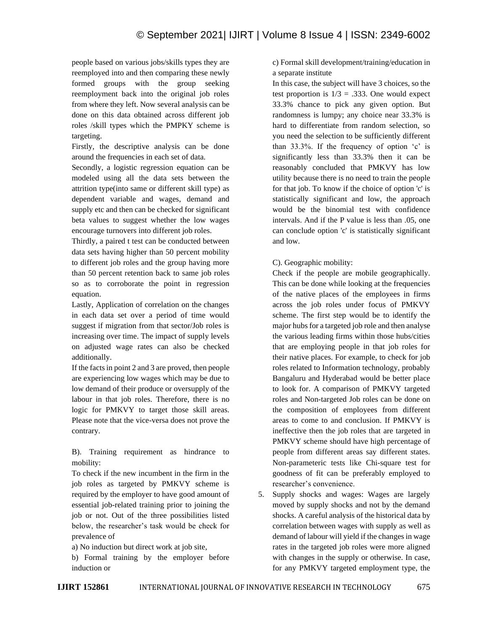people based on various jobs/skills types they are reemployed into and then comparing these newly formed groups with the group seeking reemployment back into the original job roles from where they left. Now several analysis can be done on this data obtained across different job roles /skill types which the PMPKY scheme is targeting.

Firstly, the descriptive analysis can be done around the frequencies in each set of data.

Secondly, a logistic regression equation can be modeled using all the data sets between the attrition type(into same or different skill type) as dependent variable and wages, demand and supply etc and then can be checked for significant beta values to suggest whether the low wages encourage turnovers into different job roles.

Thirdly, a paired t test can be conducted between data sets having higher than 50 percent mobility to different job roles and the group having more than 50 percent retention back to same job roles so as to corroborate the point in regression equation.

Lastly, Application of correlation on the changes in each data set over a period of time would suggest if migration from that sector/Job roles is increasing over time. The impact of supply levels on adjusted wage rates can also be checked additionally.

If the facts in point 2 and 3 are proved, then people are experiencing low wages which may be due to low demand of their produce or oversupply of the labour in that job roles. Therefore, there is no logic for PMKVY to target those skill areas. Please note that the vice-versa does not prove the contrary.

B). Training requirement as hindrance to mobility:

To check if the new incumbent in the firm in the job roles as targeted by PMKVY scheme is required by the employer to have good amount of essential job-related training prior to joining the job or not. Out of the three possibilities listed below, the researcher's task would be check for prevalence of

a) No induction but direct work at job site,

b) Formal training by the employer before induction or

c) Formal skill development/training/education in a separate institute

In this case, the subject will have 3 choices, so the test proportion is  $1/3 = .333$ . One would expect 33.3% chance to pick any given option. But randomness is lumpy; any choice near 33.3% is hard to differentiate from random selection, so you need the selection to be sufficiently different than 33.3%. If the frequency of option 'c' is significantly less than 33.3% then it can be reasonably concluded that PMKVY has low utility because there is no need to train the people for that job. To know if the choice of option 'c' is statistically significant and low, the approach would be the binomial test with confidence intervals. And if the P value is less than .05, one can conclude option 'c' is statistically significant and low.

## C). Geographic mobility:

Check if the people are mobile geographically. This can be done while looking at the frequencies of the native places of the employees in firms across the job roles under focus of PMKVY scheme. The first step would be to identify the major hubs for a targeted job role and then analyse the various leading firms within those hubs/cities that are employing people in that job roles for their native places. For example, to check for job roles related to Information technology, probably Bangaluru and Hyderabad would be better place to look for. A comparison of PMKVY targeted roles and Non-targeted Job roles can be done on the composition of employees from different areas to come to and conclusion. If PMKVY is ineffective then the job roles that are targeted in PMKVY scheme should have high percentage of people from different areas say different states. Non-parameteric tests like Chi-square test for goodness of fit can be preferably employed to researcher's convenience.

5. Supply shocks and wages: Wages are largely moved by supply shocks and not by the demand shocks. A careful analysis of the historical data by correlation between wages with supply as well as demand of labour will yield if the changes in wage rates in the targeted job roles were more aligned with changes in the supply or otherwise. In case, for any PMKVY targeted employment type, the